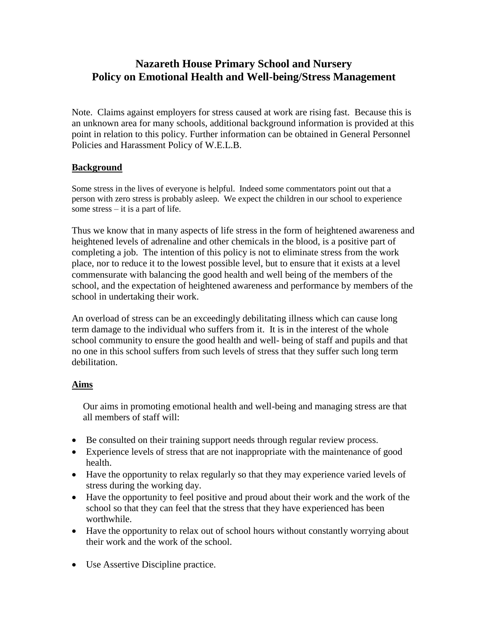## **Nazareth House Primary School and Nursery Policy on Emotional Health and Well-being/Stress Management**

Note. Claims against employers for stress caused at work are rising fast. Because this is an unknown area for many schools, additional background information is provided at this point in relation to this policy. Further information can be obtained in General Personnel Policies and Harassment Policy of W.E.L.B.

## **Background**

Some stress in the lives of everyone is helpful. Indeed some commentators point out that a person with zero stress is probably asleep. We expect the children in our school to experience some stress – it is a part of life.

Thus we know that in many aspects of life stress in the form of heightened awareness and heightened levels of adrenaline and other chemicals in the blood, is a positive part of completing a job. The intention of this policy is not to eliminate stress from the work place, nor to reduce it to the lowest possible level, but to ensure that it exists at a level commensurate with balancing the good health and well being of the members of the school, and the expectation of heightened awareness and performance by members of the school in undertaking their work.

An overload of stress can be an exceedingly debilitating illness which can cause long term damage to the individual who suffers from it. It is in the interest of the whole school community to ensure the good health and well- being of staff and pupils and that no one in this school suffers from such levels of stress that they suffer such long term debilitation.

## **Aims**

Our aims in promoting emotional health and well-being and managing stress are that all members of staff will:

- Be consulted on their training support needs through regular review process.
- Experience levels of stress that are not inappropriate with the maintenance of good health.
- Have the opportunity to relax regularly so that they may experience varied levels of stress during the working day.
- Have the opportunity to feel positive and proud about their work and the work of the school so that they can feel that the stress that they have experienced has been worthwhile.
- Have the opportunity to relax out of school hours without constantly worrying about their work and the work of the school.
- Use Assertive Discipline practice.